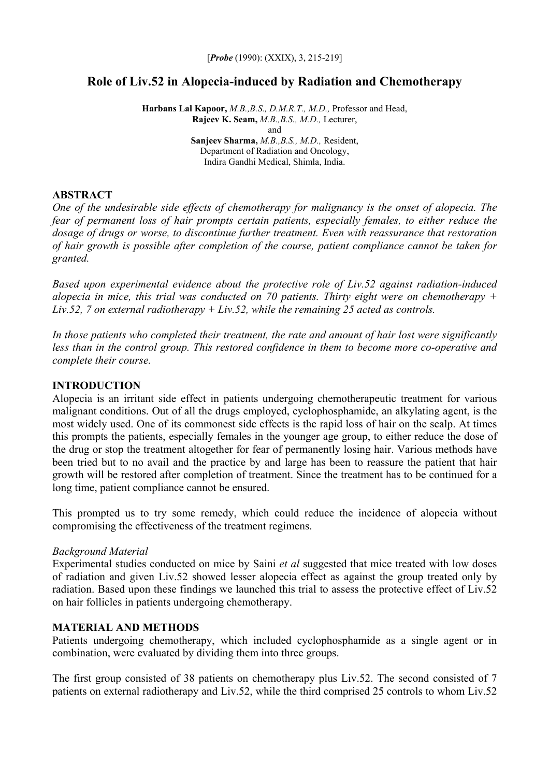# **Role of Liv.52 in Alopecia-induced by Radiation and Chemotherapy**

**Harbans Lal Kapoor,** *M.B.,B.S., D.M.R.T., M.D.,* Professor and Head, **Rajeev K. Seam,** *M.B.,B.S., M.D.,* Lecturer, and **Sanjeev Sharma,** *M.B.,B.S., M.D.,* Resident, Department of Radiation and Oncology, Indira Gandhi Medical, Shimla, India.

#### **ABSTRACT**

*One of the undesirable side effects of chemotherapy for malignancy is the onset of alopecia. The fear of permanent loss of hair prompts certain patients, especially females, to either reduce the dosage of drugs or worse, to discontinue further treatment. Even with reassurance that restoration of hair growth is possible after completion of the course, patient compliance cannot be taken for granted.* 

*Based upon experimental evidence about the protective role of Liv.52 against radiation-induced alopecia in mice, this trial was conducted on 70 patients. Thirty eight were on chemotherapy + Liv.52, 7 on external radiotherapy + Liv.52, while the remaining 25 acted as controls.* 

*In those patients who completed their treatment, the rate and amount of hair lost were significantly less than in the control group. This restored confidence in them to become more co-operative and complete their course.* 

# **INTRODUCTION**

Alopecia is an irritant side effect in patients undergoing chemotherapeutic treatment for various malignant conditions. Out of all the drugs employed, cyclophosphamide, an alkylating agent, is the most widely used. One of its commonest side effects is the rapid loss of hair on the scalp. At times this prompts the patients, especially females in the younger age group, to either reduce the dose of the drug or stop the treatment altogether for fear of permanently losing hair. Various methods have been tried but to no avail and the practice by and large has been to reassure the patient that hair growth will be restored after completion of treatment. Since the treatment has to be continued for a long time, patient compliance cannot be ensured.

This prompted us to try some remedy, which could reduce the incidence of alopecia without compromising the effectiveness of the treatment regimens.

# *Background Material*

Experimental studies conducted on mice by Saini *et al* suggested that mice treated with low doses of radiation and given Liv.52 showed lesser alopecia effect as against the group treated only by radiation. Based upon these findings we launched this trial to assess the protective effect of Liv.52 on hair follicles in patients undergoing chemotherapy.

# **MATERIAL AND METHODS**

Patients undergoing chemotherapy, which included cyclophosphamide as a single agent or in combination, were evaluated by dividing them into three groups.

The first group consisted of 38 patients on chemotherapy plus Liv.52. The second consisted of 7 patients on external radiotherapy and Liv.52, while the third comprised 25 controls to whom Liv.52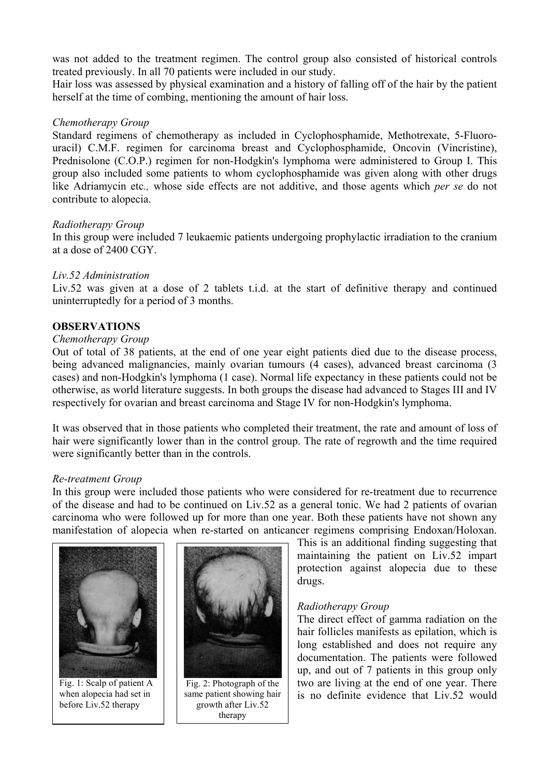was not added to the treatment regimen. The control group also consisted of historical controls treated previously. In all 70 patients were included in our study.

Hair loss was assessed by physical examination and a history of falling off of the hair by the patient herself at the time of combing, mentioning the amount of hair loss.

### *Chemotherapy Group*

Standard regimens of chemotherapy as included in Cyclophosphamide, Methotrexate, 5-Fluorouracil) C.M.F. regimen for carcinoma breast and Cyclophosphamide, Oncovin (Vincristine), Prednisolone (C.O.P.) regimen for non-Hodgkin's lymphoma were administered to Group I. This group also included some patients to whom cyclophosphamide was given along with other drugs like Adriamycin etc*.,* whose side effects are not additive, and those agents which *per se* do not contribute to alopecia.

#### *Radiotherapy Group*

In this group were included 7 leukaemic patients undergoing prophylactic irradiation to the cranium at a dose of 2400 CGY.

#### *Liv.52 Administration*

Liv.52 was given at a dose of 2 tablets t.i.d. at the start of definitive therapy and continued uninterruptedly for a period of 3 months.

# **OBSERVATIONS**

#### *Chemotherapy Group*

Out of total of 38 patients, at the end of one year eight patients died due to the disease process, being advanced malignancies, mainly ovarian tumours (4 cases), advanced breast carcinoma (3 cases) and non-Hodgkin's lymphoma (1 case). Normal life expectancy in these patients could not be otherwise, as world literature suggests. In both groups the disease had advanced to Stages III and IV respectively for ovarian and breast carcinoma and Stage IV for non-Hodgkin's lymphoma.

It was observed that in those patients who completed their treatment, the rate and amount of loss of hair were significantly lower than in the control group. The rate of regrowth and the time required were significantly better than in the controls.

#### *Re-treatment Group*

In this group were included those patients who were considered for re-treatment due to recurrence of the disease and had to be continued on Liv.52 as a general tonic. We had 2 patients of ovarian carcinoma who were followed up for more than one year. Both these patients have not shown any manifestation of alopecia when re-started on anticancer regimens comprising Endoxan/Holoxan.



Fig. 1: Scalp of patient A when alopecia had set in before Liv.52 therapy



Fig. 2: Photograph of the same patient showing hair growth after Liv.52 therapy

This is an additional finding suggesting that maintaining the patient on Liv.52 impart protection against alopecia due to these drugs.

#### *Radiotherapy Group*

The direct effect of gamma radiation on the hair follicles manifests as epilation, which is long established and does not require any documentation. The patients were followed up, and out of 7 patients in this group only two are living at the end of one year. There is no definite evidence that Liv.52 would